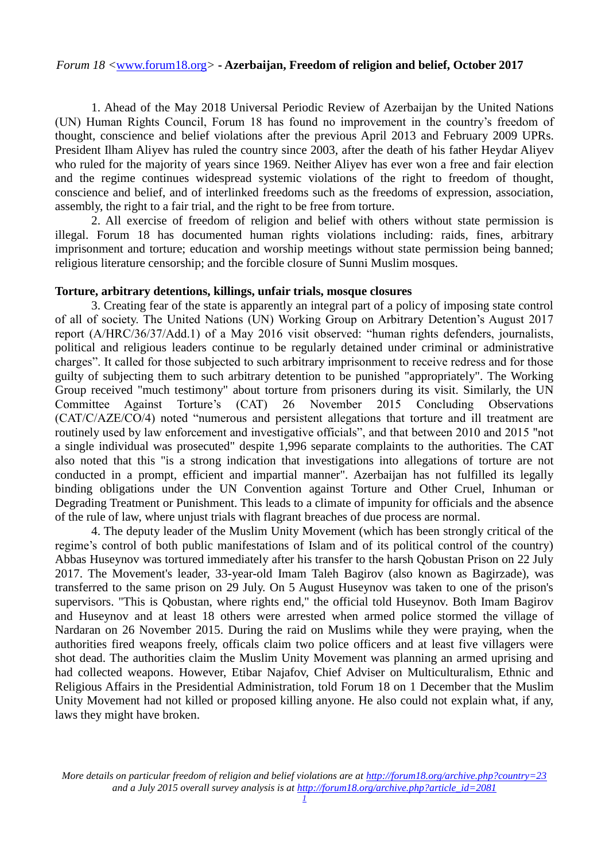1. Ahead of the May 2018 Universal Periodic Review of Azerbaijan by the United Nations (UN) Human Rights Council, Forum 18 has found no improvement in the country's freedom of thought, conscience and belief violations after the previous April 2013 and February 2009 UPRs. President Ilham Aliyev has ruled the country since 2003, after the death of his father Heydar Aliyev who ruled for the majority of years since 1969. Neither Aliyev has ever won a free and fair election and the regime continues widespread systemic violations of the right to freedom of thought, conscience and belief, and of interlinked freedoms such as the freedoms of expression, association, assembly, the right to a fair trial, and the right to be free from torture.

2. All exercise of freedom of religion and belief with others without state permission is illegal. Forum 18 has documented human rights violations including: raids, fines, arbitrary imprisonment and torture; education and worship meetings without state permission being banned; religious literature censorship; and the forcible closure of Sunni Muslim mosques.

#### **Torture, arbitrary detentions, killings, unfair trials, mosque closures**

3. Creating fear of the state is apparently an integral part of a policy of imposing state control of all of society. The United Nations (UN) Working Group on Arbitrary Detention's August 2017 report (A/HRC/36/37/Add.1) of a May 2016 visit observed: "human rights defenders, journalists, political and religious leaders continue to be regularly detained under criminal or administrative charges". It called for those subjected to such arbitrary imprisonment to receive redress and for those guilty of subjecting them to such arbitrary detention to be punished "appropriately". The Working Group received "much testimony" about torture from prisoners during its visit. Similarly, the UN Committee Against Torture's (CAT) 26 November 2015 Concluding Observations (CAT/C/AZE/CO/4) noted "numerous and persistent allegations that torture and ill treatment are routinely used by law enforcement and investigative officials", and that between 2010 and 2015 "not a single individual was prosecuted" despite 1,996 separate complaints to the authorities. The CAT also noted that this "is a strong indication that investigations into allegations of torture are not conducted in a prompt, efficient and impartial manner". Azerbaijan has not fulfilled its legally binding obligations under the UN Convention against Torture and Other Cruel, Inhuman or Degrading Treatment or Punishment. This leads to a climate of impunity for officials and the absence of the rule of law, where unjust trials with flagrant breaches of due process are normal.

4. The deputy leader of the Muslim Unity Movement (which has been strongly critical of the regime's control of both public manifestations of Islam and of its political control of the country) Abbas Huseynov was tortured immediately after his transfer to the harsh Qobustan Prison on 22 July 2017. The Movement's leader, 33-year-old Imam Taleh Bagirov (also known as Bagirzade), was transferred to the same prison on 29 July. On 5 August Huseynov was taken to one of the prison's supervisors. "This is Qobustan, where rights end," the official told Huseynov. Both Imam Bagirov and Huseynov and at least 18 others were arrested when armed police stormed the village of Nardaran on 26 November 2015. During the raid on Muslims while they were praying, when the authorities fired weapons freely, officals claim two police officers and at least five villagers were shot dead. The authorities claim the Muslim Unity Movement was planning an armed uprising and had collected weapons. However, Etibar Najafov, Chief Adviser on Multiculturalism, Ethnic and Religious Affairs in the Presidential Administration, told Forum 18 on 1 December that the Muslim Unity Movement had not killed or proposed killing anyone. He also could not explain what, if any, laws they might have broken.

*More details on particular freedom of religion and belief violations are at [http://forum18.org/archive.php?country=23](http://forum18.org/archive.php?country=31) and a July 2015 overall survey analysis is at [http://forum18.org/archive.php?article\\_id=2081](http://forum18.org/archive.php?article_id=2138)*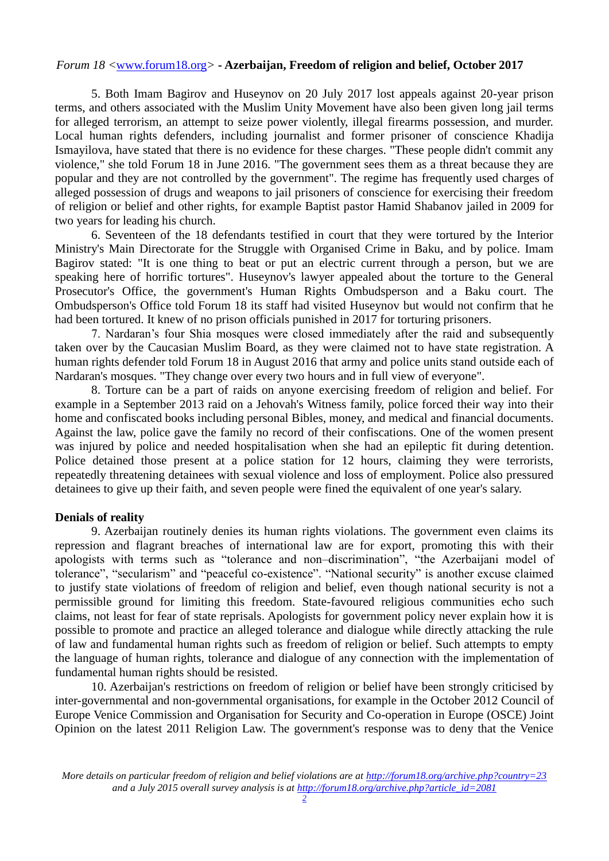5. Both Imam Bagirov and Huseynov on 20 July 2017 lost appeals against 20-year prison terms, and others associated with the Muslim Unity Movement have also been given long jail terms for alleged terrorism, an attempt to seize power violently, illegal firearms possession, and murder. Local human rights defenders, including journalist and former prisoner of conscience Khadija Ismayilova, have stated that there is no evidence for these charges. "These people didn't commit any violence," she told Forum 18 in June 2016. "The government sees them as a threat because they are popular and they are not controlled by the government". The regime has frequently used charges of alleged possession of drugs and weapons to jail prisoners of conscience for exercising their freedom of religion or belief and other rights, for example Baptist pastor Hamid Shabanov jailed in 2009 for two years for leading his church.

6. Seventeen of the 18 defendants testified in court that they were tortured by the Interior Ministry's Main Directorate for the Struggle with Organised Crime in Baku, and by police. Imam Bagirov stated: "It is one thing to beat or put an electric current through a person, but we are speaking here of horrific tortures". Huseynov's lawyer appealed about the torture to the General Prosecutor's Office, the government's Human Rights Ombudsperson and a Baku court. The Ombudsperson's Office told Forum 18 its staff had visited Huseynov but would not confirm that he had been tortured. It knew of no prison officials punished in 2017 for torturing prisoners.

7. Nardaran's four Shia mosques were closed immediately after the raid and subsequently taken over by the Caucasian Muslim Board, as they were claimed not to have state registration. A human rights defender told Forum 18 in August 2016 that army and police units stand outside each of Nardaran's mosques. "They change over every two hours and in full view of everyone".

8. Torture can be a part of raids on anyone exercising freedom of religion and belief. For example in a September 2013 raid on a Jehovah's Witness family, police forced their way into their home and confiscated books including personal Bibles, money, and medical and financial documents. Against the law, police gave the family no record of their confiscations. One of the women present was injured by police and needed hospitalisation when she had an epileptic fit during detention. Police detained those present at a police station for 12 hours, claiming they were terrorists, repeatedly threatening detainees with sexual violence and loss of employment. Police also pressured detainees to give up their faith, and seven people were fined the equivalent of one year's salary.

# **Denials of reality**

9. Azerbaijan routinely denies its human rights violations. The government even claims its repression and flagrant breaches of international law are for export, promoting this with their apologists with terms such as "tolerance and non–discrimination", "the Azerbaijani model of tolerance", "secularism" and "peaceful co-existence". "National security" is another excuse claimed to justify state violations of freedom of religion and belief, even though national security is not a permissible ground for limiting this freedom. State-favoured religious communities echo such claims, not least for fear of state reprisals. Apologists for government policy never explain how it is possible to promote and practice an alleged tolerance and dialogue while directly attacking the rule of law and fundamental human rights such as freedom of religion or belief. Such attempts to empty the language of human rights, tolerance and dialogue of any connection with the implementation of fundamental human rights should be resisted.

10. Azerbaijan's restrictions on freedom of religion or belief have been strongly criticised by inter-governmental and non-governmental organisations, for example in the October 2012 Council of Europe Venice Commission and Organisation for Security and Co-operation in Europe (OSCE) Joint Opinion on the latest 2011 Religion Law. The government's response was to deny that the Venice

*More details on particular freedom of religion and belief violations are at [http://forum18.org/archive.php?country=23](http://forum18.org/archive.php?country=31) and a July 2015 overall survey analysis is at [http://forum18.org/archive.php?article\\_id=2081](http://forum18.org/archive.php?article_id=2138)*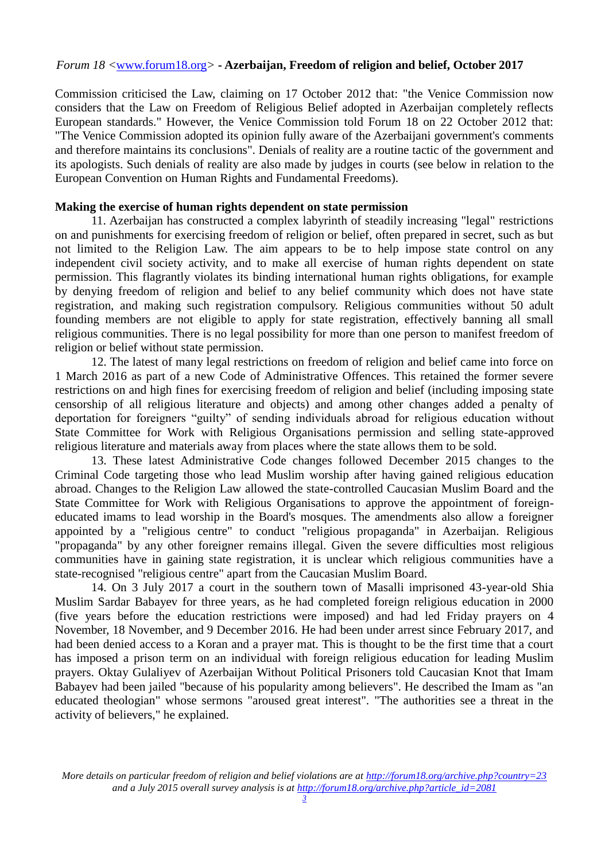Commission criticised the Law, claiming on 17 October 2012 that: "the Venice Commission now considers that the Law on Freedom of Religious Belief adopted in Azerbaijan completely reflects European standards." However, the Venice Commission told Forum 18 on 22 October 2012 that: "The Venice Commission adopted its opinion fully aware of the Azerbaijani government's comments and therefore maintains its conclusions". Denials of reality are a routine tactic of the government and its apologists. Such denials of reality are also made by judges in courts (see below in relation to the European Convention on Human Rights and Fundamental Freedoms).

## **Making the exercise of human rights dependent on state permission**

11. Azerbaijan has constructed a complex labyrinth of steadily increasing "legal" restrictions on and punishments for exercising freedom of religion or belief, often prepared in secret, such as but not limited to the Religion Law. The aim appears to be to help impose state control on any independent civil society activity, and to make all exercise of human rights dependent on state permission. This flagrantly violates its binding international human rights obligations, for example by denying freedom of religion and belief to any belief community which does not have state registration, and making such registration compulsory. Religious communities without 50 adult founding members are not eligible to apply for state registration, effectively banning all small religious communities. There is no legal possibility for more than one person to manifest freedom of religion or belief without state permission.

12. The latest of many legal restrictions on freedom of religion and belief came into force on 1 March 2016 as part of a new Code of Administrative Offences. This retained the former severe restrictions on and high fines for exercising freedom of religion and belief (including imposing state censorship of all religious literature and objects) and among other changes added a penalty of deportation for foreigners "guilty" of sending individuals abroad for religious education without State Committee for Work with Religious Organisations permission and selling state-approved religious literature and materials away from places where the state allows them to be sold.

13. These latest Administrative Code changes followed December 2015 changes to the Criminal Code targeting those who lead Muslim worship after having gained religious education abroad. Changes to the Religion Law allowed the state-controlled Caucasian Muslim Board and the State Committee for Work with Religious Organisations to approve the appointment of foreigneducated imams to lead worship in the Board's mosques. The amendments also allow a foreigner appointed by a "religious centre" to conduct "religious propaganda" in Azerbaijan. Religious "propaganda" by any other foreigner remains illegal. Given the severe difficulties most religious communities have in gaining state registration, it is unclear which religious communities have a state-recognised "religious centre" apart from the Caucasian Muslim Board.

14. On 3 July 2017 a court in the southern town of Masalli imprisoned 43-year-old Shia Muslim Sardar Babayev for three years, as he had completed foreign religious education in 2000 (five years before the education restrictions were imposed) and had led Friday prayers on 4 November, 18 November, and 9 December 2016. He had been under arrest since February 2017, and had been denied access to a Koran and a prayer mat. This is thought to be the first time that a court has imposed a prison term on an individual with foreign religious education for leading Muslim prayers. Oktay Gulaliyev of Azerbaijan Without Political Prisoners told Caucasian Knot that Imam Babayev had been jailed "because of his popularity among believers". He described the Imam as "an educated theologian" whose sermons "aroused great interest". "The authorities see a threat in the activity of believers," he explained.

*More details on particular freedom of religion and belief violations are at [http://forum18.org/archive.php?country=23](http://forum18.org/archive.php?country=31) and a July 2015 overall survey analysis is at [http://forum18.org/archive.php?article\\_id=2081](http://forum18.org/archive.php?article_id=2138)*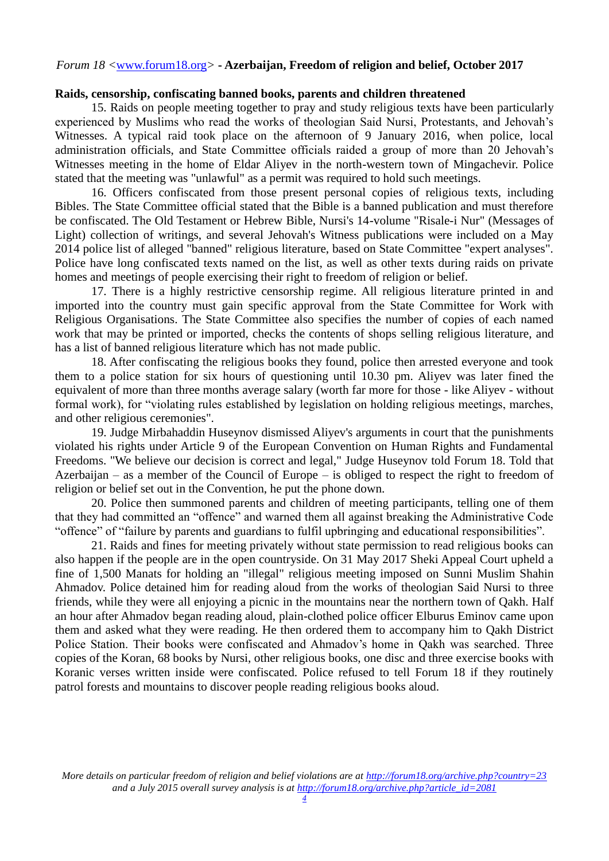#### **Raids, censorship, confiscating banned books, parents and children threatened**

15. Raids on people meeting together to pray and study religious texts have been particularly experienced by Muslims who read the works of theologian Said Nursi, Protestants, and Jehovah's Witnesses. A typical raid took place on the afternoon of 9 January 2016, when police, local administration officials, and State Committee officials raided a group of more than 20 Jehovah's Witnesses meeting in the home of Eldar Aliyev in the north-western town of Mingachevir. Police stated that the meeting was "unlawful" as a permit was required to hold such meetings.

16. Officers confiscated from those present personal copies of religious texts, including Bibles. The State Committee official stated that the Bible is a banned publication and must therefore be confiscated. The Old Testament or Hebrew Bible, Nursi's 14-volume "Risale-i Nur" (Messages of Light) collection of writings, and several Jehovah's Witness publications were included on a May 2014 police list of alleged "banned" religious literature, based on State Committee "expert analyses". Police have long confiscated texts named on the list, as well as other texts during raids on private homes and meetings of people exercising their right to freedom of religion or belief.

17. There is a highly restrictive censorship regime. All religious literature printed in and imported into the country must gain specific approval from the State Committee for Work with Religious Organisations. The State Committee also specifies the number of copies of each named work that may be printed or imported, checks the contents of shops selling religious literature, and has a list of banned religious literature which has not made public.

18. After confiscating the religious books they found, police then arrested everyone and took them to a police station for six hours of questioning until 10.30 pm. Aliyev was later fined the equivalent of more than three months average salary (worth far more for those - like Aliyev - without formal work), for "violating rules established by legislation on holding religious meetings, marches, and other religious ceremonies".

19. Judge Mirbahaddin Huseynov dismissed Aliyev's arguments in court that the punishments violated his rights under Article 9 of the European Convention on Human Rights and Fundamental Freedoms. "We believe our decision is correct and legal," Judge Huseynov told Forum 18. Told that Azerbaijan – as a member of the Council of Europe – is obliged to respect the right to freedom of religion or belief set out in the Convention, he put the phone down.

20. Police then summoned parents and children of meeting participants, telling one of them that they had committed an "offence" and warned them all against breaking the Administrative Code "offence" of "failure by parents and guardians to fulfil upbringing and educational responsibilities".

21. Raids and fines for meeting privately without state permission to read religious books can also happen if the people are in the open countryside. On 31 May 2017 Sheki Appeal Court upheld a fine of 1,500 Manats for holding an "illegal" religious meeting imposed on Sunni Muslim Shahin Ahmadov. Police detained him for reading aloud from the works of theologian Said Nursi to three friends, while they were all enjoying a picnic in the mountains near the northern town of Qakh. Half an hour after Ahmadov began reading aloud, plain-clothed police officer Elburus Eminov came upon them and asked what they were reading. He then ordered them to accompany him to Qakh District Police Station. Their books were confiscated and Ahmadov's home in Qakh was searched. Three copies of the Koran, 68 books by Nursi, other religious books, one disc and three exercise books with Koranic verses written inside were confiscated. Police refused to tell Forum 18 if they routinely patrol forests and mountains to discover people reading religious books aloud.

*More details on particular freedom of religion and belief violations are at [http://forum18.org/archive.php?country=23](http://forum18.org/archive.php?country=31) and a July 2015 overall survey analysis is at [http://forum18.org/archive.php?article\\_id=2081](http://forum18.org/archive.php?article_id=2138)*